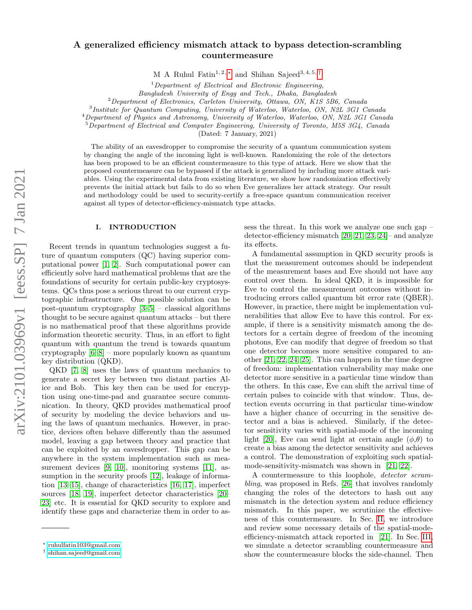# A generalized efficiency mismatch attack to bypass detection-scrambling countermeasure

M A Ruhul Fatin<sup>1, 2, \*</sup> and Shihan Sajeed<sup>3, 4, 5, [†](#page-0-1)</sup>

 $1$ Department of Electrical and Electronic Engineering,

Bangladesh University of Engg and Tech., Dhaka, Bangladesh

<sup>2</sup>Department of Electronics, Carleton University, Ottawa, ON, K1S 5B6, Canada

3 Institute for Quantum Computing, University of Waterloo, Waterloo, ON, N2L 3G1 Canada

<sup>4</sup>Department of Physics and Astronomy, University of Waterloo, Waterloo, ON, N2L 3G1 Canada

<sup>5</sup>Department of Electrical and Computer Engineering, University of Toronto, M5S 3G4, Canada

(Dated: 7 January, 2021)

The ability of an eavesdropper to compromise the security of a quantum communication system by changing the angle of the incoming light is well-known. Randomizing the role of the detectors has been proposed to be an efficient countermeasure to this type of attack. Here we show that the proposed countermeasure can be bypassed if the attack is generalized by including more attack variables. Using the experimental data from existing literature, we show how randomization effectively prevents the initial attack but fails to do so when Eve generalizes her attack strategy. Our result and methodology could be used to security-certify a free-space quantum communication receiver against all types of detector-efficiency-mismatch type attacks.

#### I. INTRODUCTION

Recent trends in quantum technologies suggest a future of quantum computers (QC) having superior computational power [\[1,](#page-3-0) [2\]](#page-3-1). Such computational power can efficiently solve hard mathematical problems that are the foundations of security for certain public-key cryptosystems. QCs thus pose a serious threat to our current cryptographic infrastructure. One possible solution can be post-quantum cryptography [\[3](#page-3-2)[–5\]](#page-3-3) – classical algorithms thought to be secure against quantum attacks – but there is no mathematical proof that these algorithms provide information theoretic security. Thus, in an effort to fight quantum with quantum the trend is towards quantum cryptography [\[6–](#page-3-4)[8\]](#page-3-5) – more popularly known as quantum key distribution (QKD).

QKD [\[7,](#page-3-6) [8\]](#page-3-5) uses the laws of quantum mechanics to generate a secret key between two distant parties Alice and Bob. This key then can be used for encryption using one-time-pad and guarantee secure communication. In theory, QKD provides mathematical proof of security by modeling the device behaviors and using the laws of quantum mechanics. However, in practice, devices often behave differently than the assumed model, leaving a gap between theory and practice that can be exploited by an eavesdropper. This gap can be anywhere in the system implementation such as mea-surement devices [\[9,](#page-3-7) [10\]](#page-3-8), monitoring systems [\[11\]](#page-4-0), as-sumption in the security proofs [\[12\]](#page-4-1), leakage of information [\[13](#page-4-2)[–15\]](#page-4-3), change of characteristics [\[16,](#page-4-4) [17\]](#page-4-5), imperfect sources [\[18,](#page-4-6) [19\]](#page-4-7), imperfect detector characteristics [\[20–](#page-4-8) [23\]](#page-4-9) etc. It is essential for QKD security to explore and identify these gaps and characterize them in order to assess the threat. In this work we analyze one such gap – detector-efficiency mismatch [\[20,](#page-4-8) [21,](#page-4-10) [23,](#page-4-9) [24\]](#page-4-11)– and analyze its effects.

A fundamental assumption in QKD security proofs is that the measurement outcomes should be independent of the measurement bases and Eve should not have any control over them. In ideal QKD, it is impossible for Eve to control the measurement outcomes without introducing errors called quantum bit error rate (QBER). However, in practice, there might be implementation vulnerabilities that allow Eve to have this control. For example, if there is a sensitivity mismatch among the detectors for a certain degree of freedom of the incoming photons, Eve can modify that degree of freedom so that one detector becomes more sensitive compared to another [\[21,](#page-4-10) [22,](#page-4-12) [24,](#page-4-11) [25\]](#page-4-13). This can happen in the time degree of freedom: implementation vulnerability may make one detector more sensitive in a particular time window than the others. In this case, Eve can shift the arrival time of certain pulses to coincide with that window. Thus, detection events occurring in that particular time-window have a higher chance of occurring in the sensitive detector and a bias is achieved. Similarly, if the detector sensitivity varies with spatial-mode of the incoming light [\[20\]](#page-4-8), Eve can send light at certain angle  $(\phi,\theta)$  to create a bias among the detector sensitivity and achieves a control. The demonstration of exploiting such spatialmode-sensitivity-mismatch was shown in [\[21,](#page-4-10) [22\]](#page-4-12).

A countermeasure to this loophole, detector scrambling, was proposed in Refs. [\[26\]](#page-4-14) that involves randomly changing the roles of the detectors to hash out any mismatch in the detection system and reduce efficiency mismatch. In this paper, we scrutinize the effectiveness of this countermeasure. In Sec. [II,](#page-1-0) we introduce and review some necessary details of the spatial-modeefficiency-mismatch attack reported in [\[21\]](#page-4-10). In Sec. [III,](#page-1-1) we simulate a detector scrambling countermeasure and show the countermeasure blocks the side-channel. Then

<span id="page-0-0"></span><sup>∗</sup> [ruhulfatin103@gmail.com](mailto:ruhulfatin103@gmail.com)

<span id="page-0-1"></span><sup>†</sup> [shihan.sajeed@gmail.com](mailto:shihan.sajeed@gmail.com)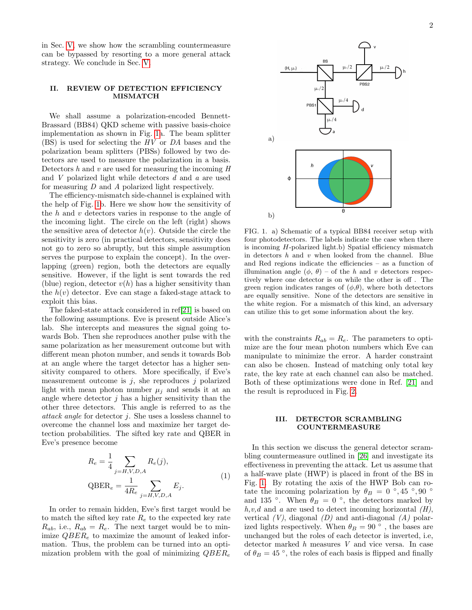in Sec. [V,](#page-3-9) we show how the scrambling countermeasure can be bypassed by resorting to a more general attack strategy. We conclude in Sec. [V.](#page-3-9)

## <span id="page-1-0"></span>II. REVIEW OF DETECTION EFFICIENCY MISMATCH

We shall assume a polarization-encoded Bennett-Brassard (BB84) QKD scheme with passive basis-choice implementation as shown in Fig. [1a](#page-1-2). The beam splitter (BS) is used for selecting the HV or DA bases and the polarization beam splitters (PBSs) followed by two detectors are used to measure the polarization in a basis. Detectors  $h$  and  $v$  are used for measuring the incoming  $H$ and  $V$  polarized light while detectors  $d$  and  $a$  are used for measuring D and A polarized light respectively.

The efficiency-mismatch side-channel is explained with the help of Fig. [1b](#page-1-2). Here we show how the sensitivity of the h and v detectors varies in response to the angle of the incoming light. The circle on the left (right) shows the sensitive area of detector  $h(v)$ . Outside the circle the sensitivity is zero (in practical detectors, sensitivity does not go to zero so abruptly, but this simple assumption serves the purpose to explain the concept). In the overlapping (green) region, both the detectors are equally sensitive. However, if the light is sent towards the red (blue) region, detector  $v(h)$  has a higher sensitivity than the  $h(v)$  detector. Eve can stage a faked-stage attack to exploit this bias.

The faked-state attack considered in ref[\[21\]](#page-4-10) is based on the following assumptions. Eve is present outside Alice's lab. She intercepts and measures the signal going towards Bob. Then she reproduces another pulse with the same polarization as her measurement outcome but with different mean photon number, and sends it towards Bob at an angle where the target detector has a higher sensitivity compared to others. More specifically, if Eve's measurement outcome is  $j$ , she reproduces  $j$  polarized light with mean photon number  $\mu_i$  and sends it at an angle where detector  $j$  has a higher sensitivity than the other three detectors. This angle is referred to as the attack angle for detector j. She uses a lossless channel to overcome the channel loss and maximize her target detection probabilities. The sifted key rate and QBER in Eve's presence become

<span id="page-1-3"></span>
$$
R_e = \frac{1}{4} \sum_{j=H, V, D, A} R_e(j),
$$
  
QBER<sub>e</sub> =  $\frac{1}{4R_e} \sum_{j=H, V, D, A} E_j.$  (1)

In order to remain hidden, Eve's first target would be to match the sifted key rate  $R_e$  to the expected key rate  $R_{ab}$ , i.e.,  $R_{ab} = R_e$ . The next target would be to minimize  $QBER_e$  to maximize the amount of leaked information. Thus, the problem can be turned into an optimization problem with the goal of minimizing  $QBER_e$ 



<span id="page-1-2"></span>FIG. 1. a) Schematic of a typical BB84 receiver setup with four photodetectors. The labels indicate the case when there is incoming H-polarized light.b) Spatial efficiency mismatch in detectors  $h$  and  $v$  when looked from the channel. Blue and Red regions indicate the efficiencies – as a function of illumination angle  $(\phi, \theta)$  – of the h and v detectors respectively where one detector is on while the other is off . The green region indicates ranges of  $(\phi, \theta)$ , where both detectors are equally sensitive. None of the detectors are sensitive in the white region. For a mismatch of this kind, an adversary can utilize this to get some information about the key.

with the constraints  $R_{ab} = R_e$ . The parameters to optimize are the four mean photon numbers which Eve can manipulate to minimize the error. A harder constraint can also be chosen. Instead of matching only total key rate, the key rate at each channel can also be matched. Both of these optimizations were done in Ref. [\[21\]](#page-4-10) and the result is reproduced in Fig. [2.](#page-2-0)

#### <span id="page-1-1"></span>III. DETECTOR SCRAMBLING COUNTERMEASURE

In this section we discuss the general detector scrambling countermeasure outlined in [\[26\]](#page-4-14) and investigate its effectiveness in preventing the attack. Let us assume that a half-wave plate (HWP) is placed in front of the BS in Fig. [1.](#page-1-2) By rotating the axis of the HWP Bob can rotate the incoming polarization by  $\theta_B = 0$  °, 45 °, 90 ° and 135 °. When  $\theta_B = 0$  °, the detectors marked by  $h, v, d$  and a are used to detect incoming horizontal  $(H)$ , vertical  $(V)$ , diagonal  $(D)$  and anti-diagonal  $(A)$  polarized lights respectively. When  $\theta_B = 90$ <sup>°</sup>, the bases are unchanged but the roles of each detector is inverted, i.e, detector marked h measures V and vice versa. In case of  $\theta_B = 45$ <sup>°</sup>, the roles of each basis is flipped and finally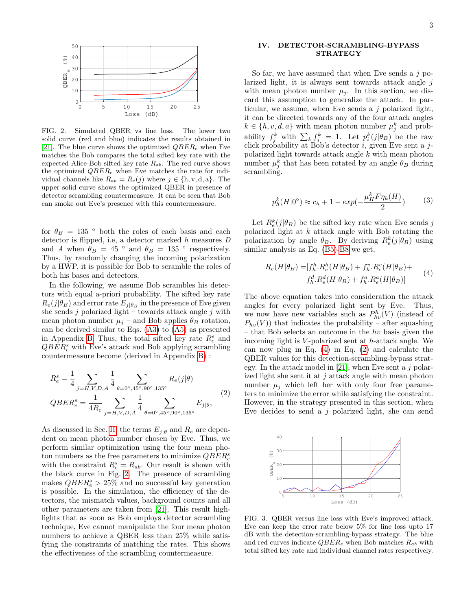

<span id="page-2-0"></span>FIG. 2. Simulated QBER vs line loss. The lower two solid curve (red and blue) indicates the results obtained in [\[21\]](#page-4-10). The blue curve shows the optimized  $QBER_e$  when Eve matches the Bob compares the total sifted key rate with the expected Alice-Bob sifted key rate  $R_{ab}$ . The red curve shows the optimized  $QBER_e$  when Eve matches the rate for individual channels like  $R_{ab} = R_e(j)$  where  $j \in \{\text{h}, \text{v}, \text{d}, \text{a}\}\$ . The upper solid curve shows the optimized QBER in presence of detector scrambling countermeasure. It can be seen that Bob can smoke out Eve's presence with this countermeasure.

for  $\theta_B = 135$  ° both the roles of each basis and each detector is flipped, i.e, a detector marked  $h$  measures  ${\cal D}$ and A when  $\theta_B = 45$  ° and  $\theta_B = 135$  ° respectively. Thus, by randomly changing the incoming polarization by a HWP, it is possible for Bob to scramble the roles of both his bases and detectors.

In the following, we assume Bob scrambles his detectors with equal a-priori probability. The sifted key rate  $R_e(j|\theta_B)$  and error rate  $E_{j|\theta_B}$  in the presence of Eve given she sends  $j$  polarized light – towards attack angle  $j$  with mean photon number  $\mu_j$  – and Bob applies  $\theta_B$  rotation, can be derived similar to Eqs. [\(A3\)](#page-4-15) to [\(A5\)](#page-5-0) as presented in Appendix [B.](#page-5-1) Thus, the total sifted key rate  $R_e^s$  and  $QBER_e^s$  with Eve's attack and Bob applying scrambling countermeasure become (derived in Appendix [B\)](#page-5-1) :

<span id="page-2-2"></span>
$$
R_e^s = \frac{1}{4} \sum_{j=H,V,D,A} \frac{1}{4} \sum_{\theta=0^{\circ},45^{\circ},90^{\circ},135^{\circ}} R_e(j|\theta)
$$
  

$$
QBER_e^s = \frac{1}{4R_e} \sum_{j=H,V,D,A} \frac{1}{4} \sum_{\theta=0^{\circ},45^{\circ},90^{\circ},135^{\circ}} E_{j|\theta},
$$
 (2)

As discussed in Sec. [II,](#page-1-0) the terms  $E_{j|\theta}$  and  $R_e$  are dependent on mean photon number chosen by Eve. Thus, we perform similar optimization using the four mean photon numbers as the free parameters to minimize  $QBER^s_e$ with the constraint  $R_e^s = R_{ab}$ . Our result is shown with the black curve in Fig. [2.](#page-2-0) The presence of scrambling makes  $QBER_e^s > 25\%$  and no successful key generation is possible. In the simulation, the efficiency of the detectors, the mismatch values, background counts and all other parameters are taken from [\[21\]](#page-4-10). This result highlights that as soon as Bob employs detector scrambling technique, Eve cannot manipulate the four mean photon numbers to achieve a QBER less than 25% while satisfying the constraints of matching the rates. This shows the effectiveness of the scrambling countermeasure.

#### IV. DETECTOR-SCRAMBLING-BYPASS STRATEGY

So far, we have assumed that when Eve sends a  $j$  polarized light, it is always sent towards attack angle  $j$ with mean photon number  $\mu_i$ . In this section, we discard this assumption to generalize the attack. In particular, we assume, when Eve sends a  $j$  polarized light, it can be directed towards any of the four attack angles  $k \in \{h, v, d, a\}$  with mean photon number  $\mu_j^k$  and probability  $f_j^k$  with  $\sum_k f_j^k = 1$ . Let  $p_i^k(j|\theta_B)$  be the raw click probability at Bob's detector  $i$ , given Eve sent a jpolarized light towards attack angle k with mean photon number  $\mu_j^k$  that has been rotated by an angle  $\theta_B$  during scrambling.

$$
p_h^k(H|0^\circ) \approx c_h + 1 - exp(-\frac{\mu_H^k F \eta_k(H)}{2}) \tag{3}
$$

Let  $R_e^k(j|\theta_B)$  be the sifted key rate when Eve sends j polarized light at  $k$  attack angle with Bob rotating the polarization by angle  $\theta_B$ . By deriving  $R_e^k(j|\theta_B)$  using similar analysis as Eq. [\(B5\)](#page-6-0)[-B8](#page-6-1) we get,

<span id="page-2-1"></span>
$$
R_e(H|\theta_B) = [f_h^h.R_e^h(H|\theta_B) + f_h^v.R_e^v(H|\theta_B) +
$$
  
\n
$$
f_h^d.R_e^d(H|\theta_B) + f_h^a.R_e^a(H|\theta_B)]
$$
\n(4)

The above equation takes into consideration the attack angles for every polarized light sent by Eve. Thus, we now have new variables such as  $P_{hv}^h(V)$  (instead of  $P_{hv}(V)$  that indicates the probability – after squashing – that Bob selects an outcome in the  $hv$  basis given the incoming light is V -polarized sent at h-attack angle. We can now plug in Eq. [\(4\)](#page-2-1) in Eq. [\(2\)](#page-2-2) and calculate the QBER values for this detection-scrambling-bypass strat-egy. In the attack model in [\[21\]](#page-4-10), when Eve sent a  $j$  polarized light she sent it at  $j$  attack angle with mean photon number  $\mu_j$  which left her with only four free parameters to minimize the error while satisfying the constraint. However, in the strategy presented in this section, when Eve decides to send a  $j$  polarized light, she can send



<span id="page-2-3"></span>FIG. 3. QBER versus line loss with Eve's improved attack. Eve can keep the error rate below 5% for line loss upto 17 dB with the detection-scrambling-bypass strategy. The blue and red curves indicate  $QBER_e$  when Bob matches  $R_{ab}$  with total sifted key rate and individual channel rates respectively.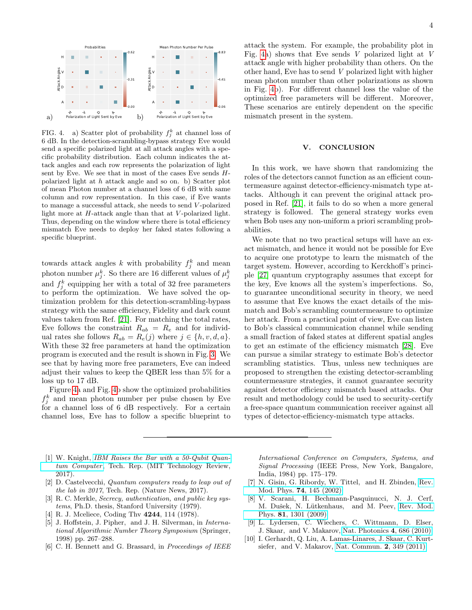

<span id="page-3-10"></span>FIG. 4. a) Scatter plot of probability  $f_j^k$  at channel loss of 6 dB. In the detection-scrambling-bypass strategy Eve would send a specific polarized light at all attack angles with a specific probability distribution. Each column indicates the attack angles and each row represents the polarization of light sent by Eve. We see that in most of the cases Eve sends Hpolarized light at h attack angle and so on. b) Scatter plot of mean Photon number at a channel loss of 6 dB with same column and row representation. In this case, if Eve wants to manage a successful attack, she needs to send V -polarized light more at  $H$ -attack angle than that at  $V$ -polarized light. Thus, depending on the window where there is total efficiency mismatch Eve needs to deploy her faked states following a specific blueprint.

towards attack angles k with probability  $f_j^k$  and mean photon number  $\mu_j^k$ . So there are 16 different values of  $\mu_j^k$ and  $f_j^k$  equipping her with a total of 32 free parameters to perform the optimization. We have solved the optimization problem for this detection-scrambling-bypass strategy with the same efficiency, Fidelity and dark count values taken from Ref. [\[21\]](#page-4-10). For matching the total rates, Eve follows the constraint  $R_{ab} = R_e$  and for individual rates she follows  $R_{ab} = R_e(j)$  where  $j \in \{h, v, d, a\}$ . With these 32 free parameters at hand the optimization program is executed and the result is shown in Fig. [3.](#page-2-3) We see that by having more free parameters, Eve can indeed adjust their values to keep the QBER less than 5% for a loss up to 17 dB.

Figure [4a](#page-3-10) and Fig. [4b](#page-3-10) show the optimized probabilities  $f_j^k$  and mean photon number per pulse chosen by Eve for a channel loss of 6 dB respectively. For a certain channel loss, Eve has to follow a specific blueprint to

attack the system. For example, the probability plot in Fig. [4a](#page-3-10)) shows that Eve sends V polarized light at V attack angle with higher probability than others. On the other hand, Eve has to send V polarized light with higher mean photon number than other polarizations as shown in Fig. [4b](#page-3-10)). For different channel loss the value of the optimized free parameters will be different. Moreover, These scenarios are entirely dependent on the specific mismatch present in the system.

#### <span id="page-3-9"></span>V. CONCLUSION

In this work, we have shown that randomizing the roles of the detectors cannot function as an efficient countermeasure against detector-efficiency-mismatch type attacks. Although it can prevent the original attack proposed in Ref. [\[21\]](#page-4-10), it fails to do so when a more general strategy is followed. The general strategy works even when Bob uses any non-uniform a priori scrambling probabilities.

We note that no two practical setups will have an exact mismatch, and hence it would not be possible for Eve to acquire one prototype to learn the mismatch of the target system. However, according to Kerckhoff's principle [\[27\]](#page-4-16) quantum cryptography assumes that except for the key, Eve knows all the system's imperfections. So, to guarantee unconditional security in theory, we need to assume that Eve knows the exact details of the mismatch and Bob's scrambling countermeasure to optimize her attack. From a practical point of view, Eve can listen to Bob's classical communication channel while sending a small fraction of faked states at different spatial angles to get an estimate of the efficiency mismatch [\[28\]](#page-4-17). Eve can pursue a similar strategy to estimate Bob's detector scrambling statistics. Thus, unless new techniques are proposed to strengthen the existing detector-scrambling countermeasure strategies, it cannot guarantee security against detector efficiency mismatch based attacks. Our result and methodology could be used to security-certify a free-space quantum communication receiver against all types of detector-efficiency-mismatch type attacks.

- <span id="page-3-0"></span>[1] W. Knight, [IBM Raises the Bar with a 50-Qubit Quan](https://www.technologyreview.com/s/609451/ibm-raises-the-bar-with-a-50-qubit-quantum-computer/?utm_campaign=Technology+Review&utm_source=facebook.com&utm_medium=social) $tum$  Computer, Tech. Rep. (MIT Technology Review, 2017).
- <span id="page-3-1"></span>[2] D. Castelvecchi, Quantum computers ready to leap out of the lab in 2017, Tech. Rep. (Nature News, 2017).
- <span id="page-3-2"></span>[3] R. C. Merkle, *Secrecy*, *authentication*, *and public key sys*tems, Ph.D. thesis, Stanford University (1979).
- [4] R. J. Mceliece, Coding Thy **4244**, 114 (1978).
- <span id="page-3-3"></span>[5] J. Hoffstein, J. Pipher, and J. H. Silverman, in International Algorithmic Number Theory Symposium (Springer, 1998) pp. 267–288.
- <span id="page-3-4"></span>[6] C. H. Bennett and G. Brassard, in Proceedings of IEEE

International Conference on Computers, Systems, and Signal Processing (IEEE Press, New York, Bangalore, India, 1984) pp. 175–179.

- <span id="page-3-6"></span>[7] N. Gisin, G. Ribordy, W. Tittel, and H. Zbinden, [Rev.](http://dx.doi.org/ 10.1103/RevModPhys.74.145) Mod. Phys. 74[, 145 \(2002\).](http://dx.doi.org/ 10.1103/RevModPhys.74.145)
- <span id="page-3-5"></span>[8] V. Scarani, H. Bechmann-Pasquinucci, N. J. Cerf, M. Dušek, N. Lütkenhaus, and M. Peev, [Rev. Mod.](http://dx.doi.org/10.1103/RevModPhys.81.1301) Phys. 81[, 1301 \(2009\).](http://dx.doi.org/10.1103/RevModPhys.81.1301)
- <span id="page-3-7"></span>[9] L. Lydersen, C. Wiechers, C. Wittmann, D. Elser, J. Skaar, and V. Makarov, [Nat. Photonics](http://dx.doi.org/ 10.1038/nphoton.2010.214) 4, 686 (2010).
- <span id="page-3-8"></span>[10] I. Gerhardt, Q. Liu, A. Lamas-Linares, J. Skaar, C. Kurtsiefer, and V. Makarov, [Nat. Commun.](http://dx.doi.org/ 10.1038/ncomms1348) 2, 349 (2011).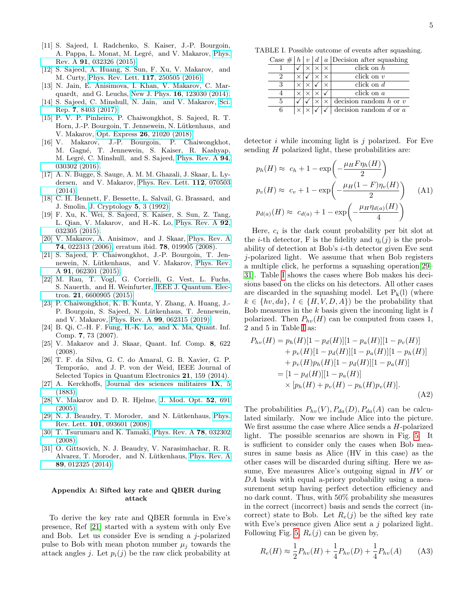- <span id="page-4-0"></span>[11] S. Sajeed, I. Radchenko, S. Kaiser, J.-P. Bourgoin, A. Pappa, L. Monat, M. Legré, and V. Makarov, [Phys.](http://dx.doi.org/10.1103/PhysRevA.91.032326) Rev. A 91[, 032326 \(2015\).](http://dx.doi.org/10.1103/PhysRevA.91.032326)
- <span id="page-4-1"></span>[12] S. Sajeed, A. Huang, S. Sun, F. Xu, V. Makarov, and M. Curty, [Phys. Rev. Lett.](http://dx.doi.org/10.1103/PhysRevLett.117.250505) 117, 250505 (2016).
- <span id="page-4-2"></span>[13] N. Jain, E. Anisimova, I. Khan, V. Makarov, C. Marquardt, and G. Leuchs, New J. Phys. 16[, 123030 \(2014\).](http://dx.doi.org/ 10.1088/1367-2630/16/12/123030)
- [14] S. Sajeed, C. Minshull, N. Jain, and V. Makarov, [Sci.](https://doi.org/10.1038/s41598-017-08279-1) Rep. 7[, 8403 \(2017\).](https://doi.org/10.1038/s41598-017-08279-1)
- <span id="page-4-3"></span>[15] P. V. P. Pinheiro, P. Chaiwongkhot, S. Sajeed, R. T. Horn, J.-P. Bourgoin, T. Jennewein, N. Lütkenhaus, and V. Makarov, Opt. Express 26[, 21020 \(2018\).](http://dx.doi.org/ 10.1364/OE.26.021020)
- <span id="page-4-4"></span>[16] V. Makarov, J.-P. Bourgoin, P. Chaiwongkhot, M. Gagné, T. Jennewein, S. Kaiser, R. Kashyap, M. Legré, C. Minshull, and S. Sajeed, [Phys. Rev. A](http://dx.doi.org/ 10.1103/PhysRevA.94.030302) 94, [030302 \(2016\).](http://dx.doi.org/ 10.1103/PhysRevA.94.030302)
- <span id="page-4-5"></span>[17] A. N. Bugge, S. Sauge, A. M. M. Ghazali, J. Skaar, L. Lydersen, and V. Makarov, [Phys. Rev. Lett.](http://dx.doi.org/ 10.1103/PhysRevLett.112.070503) 112, 070503 [\(2014\).](http://dx.doi.org/ 10.1103/PhysRevLett.112.070503)
- <span id="page-4-6"></span>[18] C. H. Bennett, F. Bessette, L. Salvail, G. Brassard, and J. Smolin, [J. Cryptology](http://dx.doi.org/ 10.1007/bf00191318) 5, 3 (1992).
- <span id="page-4-7"></span>[19] F. Xu, K. Wei, S. Sajeed, S. Kaiser, S. Sun, Z. Tang, L. Qian, V. Makarov, and H.-K. Lo, [Phys. Rev. A](http://dx.doi.org/ 10.1103/PhysRevA.92.032305) 92, [032305 \(2015\).](http://dx.doi.org/ 10.1103/PhysRevA.92.032305)
- <span id="page-4-8"></span>[20] V. Makarov, A. Anisimov, and J. Skaar, [Phys. Rev. A](http://dx.doi.org/10.1103/PhysRevA.74.022313) 74[, 022313 \(2006\),](http://dx.doi.org/10.1103/PhysRevA.74.022313) erratum ibid. 78, 019905 (2008).
- <span id="page-4-10"></span>[21] S. Sajeed, P. Chaiwongkhot, J.-P. Bourgoin, T. Jen-newein, N. Lütkenhaus, and V. Makarov, [Phys. Rev.](http://dx.doi.org/10.1103/PhysRevA.91.062301) A 91[, 062301 \(2015\).](http://dx.doi.org/10.1103/PhysRevA.91.062301)
- <span id="page-4-12"></span>[22] M. Rau, T. Vogl, G. Corrielli, G. Vest, L. Fuchs, S. Nauerth, and H. Weinfurter, [IEEE J. Quantum. Elec](http://dx.doi.org/ 10.1109/JSTQE.2014.2372008)tron. 21[, 6600905 \(2015\).](http://dx.doi.org/ 10.1109/JSTQE.2014.2372008)
- <span id="page-4-9"></span>[23] P. Chaiwongkhot, K. B. Kuntz, Y. Zhang, A. Huang, J.- P. Bourgoin, S. Sajeed, N. Lütkenhaus, T. Jennewein, and V. Makarov, Phys. Rev. A 99[, 062315 \(2019\).](http://dx.doi.org/10.1103/PhysRevA.99.062315)
- <span id="page-4-11"></span>[24] B. Qi, C.-H. F. Fung, H.-K. Lo, and X. Ma, Quant. Inf. Comp. 7, 73 (2007).
- <span id="page-4-13"></span>[25] V. Makarov and J. Skaar, Quant. Inf. Comp. 8, 622 (2008).
- <span id="page-4-14"></span>[26] T. F. da Silva, G. C. do Amaral, G. B. Xavier, G. P. Temporão, and J. P. von der Weid, IEEE Journal of Selected Topics in Quantum Electronics 21, 159 (2014).
- <span id="page-4-16"></span>[27] A. Kerckhoffs, [Journal des sciences militaires](https://www.petitcolas.net/kerckhoffs/crypto_militaire_1_b.pdf) IX, 5 [\(1883\).](https://www.petitcolas.net/kerckhoffs/crypto_militaire_1_b.pdf)
- <span id="page-4-17"></span>[28] V. Makarov and D. R. Hjelme, [J. Mod. Opt.](http://dx.doi.org/10.1080/09500340410001730986) 52, 691 [\(2005\).](http://dx.doi.org/10.1080/09500340410001730986)
- <span id="page-4-18"></span>[29] N. J. Beaudry, T. Moroder, and N. Lütkenhaus, [Phys.](http://dx.doi.org/10.1103/PhysRevLett.101.093601) Rev. Lett. 101[, 093601 \(2008\).](http://dx.doi.org/10.1103/PhysRevLett.101.093601)
- [30] T. Tsurumaru and K. Tamaki, [Phys. Rev. A](http://dx.doi.org/10.1103/PhysRevA.78.032302) 78, 032302 [\(2008\).](http://dx.doi.org/10.1103/PhysRevA.78.032302)
- <span id="page-4-19"></span>[31] O. Gittsovich, N. J. Beaudry, V. Narasimhachar, R. R. Alvarez, T. Moroder, and N. Lütkenhaus, [Phys. Rev. A](http://dx.doi.org/10.1103/PhysRevA.89.012325) 89[, 012325 \(2014\).](http://dx.doi.org/10.1103/PhysRevA.89.012325)

### Appendix A: Sifted key rate and QBER during attack

To derive the key rate and QBER formula in Eve's presence, Ref [\[21\]](#page-4-10) started with a system with only Eve and Bob. Let us consider Eve is sending a  $j$ -polarized pulse to Bob with mean photon number  $\mu_i$  towards the attack angles j. Let  $p_i(j)$  be the raw click probability at

TABLE I. Possible outcome of events after squashing.

<span id="page-4-20"></span>

| Case $\#   h$ | $\boldsymbol{v}$ |  | $d   a  $ Decision after squashing |
|---------------|------------------|--|------------------------------------|
|               |                  |  | click on $h$                       |
|               |                  |  | click on $v$                       |
|               |                  |  | click on $d$                       |
|               |                  |  | click on a                         |
|               |                  |  | decision random $h$ or $v$         |
|               |                  |  | decision random $d$ or $a$         |

detector i while incoming light is j polarized. For Eve sending H polarized light, these probabilities are:

<span id="page-4-21"></span>
$$
p_h(H) \approx c_h + 1 - \exp\left(-\frac{\mu_H F \eta_h(H)}{2}\right)
$$
  
\n
$$
p_v(H) \approx c_v + 1 - \exp\left(-\frac{\mu_H(1 - F)\eta_v(H)}{2}\right)
$$
 (A1)  
\n
$$
p_{d(a)}(H) \approx c_{d(a)} + 1 - \exp\left(-\frac{\mu_H \eta_{d(a)}(H)}{4}\right)
$$

Here,  $c_i$  is the dark count probability per bit slot at the *i*-th detector, F is the fidelity and  $\eta_i(j)$  is the probability of detection at Bob's i-th detector given Eve sent j-polarized light. We assume that when Bob registers a multiple click, he performs a squashing operation[\[29–](#page-4-18) [31\]](#page-4-19). Table [I](#page-4-20) shows the cases where Bob makes his decisions based on the clicks on his detectors. All other cases are discarded in the squashing model. Let  $P_k(l)$  (where  $k \in \{hv, da\}, l \in \{H, V, D, A\})$  be the probability that Bob measures in the  $k$  basis given the incoming light is  $l$ polarized. Then  $P_{hv}(H)$  can be computed from cases 1, 2 and 5 in Table [I](#page-4-20) as:

<span id="page-4-22"></span>
$$
P_{hv}(H) = p_h(H)[1 - p_d(H)][1 - p_a(H)][1 - p_v(H)]
$$
  
+  $p_v(H)[1 - p_d(H)][1 - p_a(H)][1 - p_h(H)]$   
+  $p_v(H)p_h(H)[1 - p_d(H)][1 - p_a(H)]$   
=  $[1 - p_d(H)][1 - p_a(H)]$   
×  $[p_h(H) + p_v(H) - p_h(H)p_v(H)].$  (A2)

The probabilities  $P_{hv}(V)$ ,  $P_{da}(D)$ ,  $P_{da}(A)$  can be calculated similarly. Now we include Alice into the picture. We first assume the case where Alice sends a H-polarized light. The possible scenarios are shown in Fig. [5.](#page-5-2) It is sufficient to consider only the cases when Bob measures in same basis as Alice (HV in this case) as the other cases will be discarded during sifting. Here we assume, Eve measures Alice's outgoing signal in HV or DA basis with equal a-priory probability using a measurement setup having perfect detection efficiency and no dark count. Thus, with 50% probability she measures in the correct (incorrect) basis and sends the correct (incorrect) state to Bob. Let  $R_e(j)$  be the sifted key rate with Eve's presence given Alice sent a j polarized light. Following Fig. [5,](#page-5-2)  $R_e(j)$  can be given by,

<span id="page-4-15"></span>
$$
R_e(H) \approx \frac{1}{2} P_{hv}(H) + \frac{1}{4} P_{hv}(D) + \frac{1}{4} P_{hv}(A)
$$
 (A3)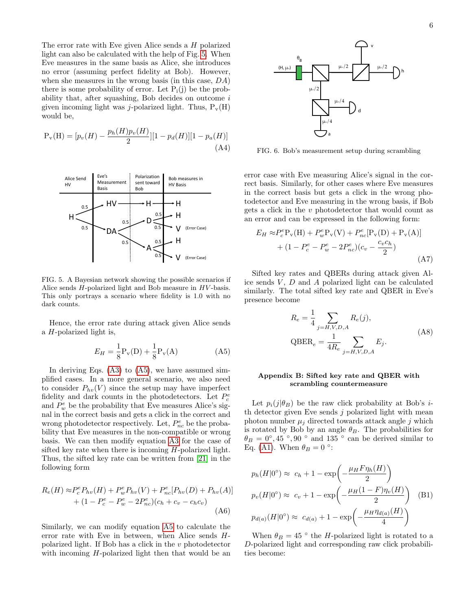The error rate with Eve given Alice sends a H polarized light can also be calculated with the help of Fig. [5.](#page-5-2) When Eve measures in the same basis as Alice, she introduces no error (assuming perfect fidelity at Bob). However, when she measures in the wrong basis (in this case, DA) there is some probability of error. Let  $P_i(i)$  be the probability that, after squashing, Bob decides on outcome  $i$ given incoming light was *j*-polarized light. Thus,  $P_v(H)$ would be,

$$
P_v(H) = [p_v(H) - \frac{p_h(H)p_v(H)}{2}][1 - p_d(H)][1 - p_a(H)]
$$
\n(A4)



<span id="page-5-2"></span>FIG. 5. A Bayesian network showing the possible scenarios if Alice sends  $H$ -polarized light and Bob measure in  $HV$ -basis. This only portrays a scenario where fidelity is 1.0 with no dark counts.

Hence, the error rate during attack given Alice sends a H-polarized light is,

<span id="page-5-0"></span>
$$
E_H = \frac{1}{8} P_v(D) + \frac{1}{8} P_v(A)
$$
 (A5)

In deriving Eqs.  $(A3)$  to  $(A5)$ , we have assumed simplified cases. In a more general scenario, we also need to consider  $P_{hv}(V)$  since the setup may have imperfect fidelity and dark counts in the photodetectors. Let  $P_c^e$ and  $P_w^e$  be the probability that Eve measures Alice's signal in the correct basis and gets a click in the correct and wrong photodetector respectively. Let,  $P_{nc}^e$  be the probability that Eve measures in the non-compatible or wrong basis. We can then modify equation [A3](#page-4-15) for the case of sifted key rate when there is incoming H-polarized light. Thus, the sifted key rate can be written from [\[21\]](#page-4-10) in the following form

<span id="page-5-3"></span>
$$
R_e(H) \approx P_c^e P_{hv}(H) + P_w^e P_{hv}(V) + P_{nc}^e [P_{hv}(D) + P_{hv}(A)]
$$
  
+ 
$$
(1 - P_c^e - P_w^e - 2P_{nc}^e)(c_h + c_v - c_h c_v)
$$
(A6)

Similarly, we can modify equation [A5](#page-5-0) to calculate the error rate with Eve in between, when Alice sends Hpolarized light. If Bob has a click in the v photodetector with incoming H-polarized light then that would be an

FIG. 6. Bob's measurement setup during scrambling

a

error case with Eve measuring Alice's signal in the correct basis. Similarly, for other cases where Eve measures in the correct basis but gets a click in the wrong photodetector and Eve measuring in the wrong basis, if Bob gets a click in the v photodetector that would count as an error and can be expressed in the following form:

en al control de la

<span id="page-5-4"></span>
$$
E_H \approx P_c^e P_v(H) + P_w^e P_v(V) + P_{nc}^e [P_v(D) + P_v(A)]
$$
  
+  $(1 - P_c^e - P_w^e - 2P_{nc}^e)(c_v - \frac{c_v c_h}{2})$  (A7)

e de la construcción de la construcción

Sifted key rates and QBERs during attack given Alice sends  $V, D$  and  $A$  polarized light can be calculated similarly. The total sifted key rate and QBER in Eve's presence become

$$
R_e = \frac{1}{4} \sum_{j=H, V, D, A} R_e(j),
$$
  
QBER<sub>e</sub> =  $\frac{1}{4R_e} \sum_{j=H, V, D, A} E_j.$  (A8)

#### <span id="page-5-1"></span>Appendix B: Sifted key rate and QBER with scrambling countermeasure

Let  $p_i(j|\theta_B)$  be the raw click probability at Bob's *i*th detector given Eve sends  $j$  polarized light with mean photon number  $\mu_j$  directed towards attack angle j which is rotated by Bob by an angle  $\theta_B$ . The probabilities for  $\theta_B = 0^\circ, 45^\circ, 90^\circ$  and  $135^\circ$  can be derived similar to Eq. [\(A1\)](#page-4-21). When  $\theta_B = 0$  °:

$$
p_h(H|0^{\circ}) \approx c_h + 1 - \exp\left(-\frac{\mu_H F \eta_h(H)}{2}\right)
$$
  
\n
$$
p_v(H|0^{\circ}) \approx c_v + 1 - \exp\left(-\frac{\mu_H(1 - F)\eta_v(H)}{2}\right)
$$
 (B1)  
\n
$$
p_{d(a)}(H|0^{\circ}) \approx c_{d(a)} + 1 - \exp\left(-\frac{\mu_H \eta_{d(a)}(H)}{4}\right)
$$

When  $\theta_B = 45$  ° the H-polarized light is rotated to a D-polarized light and corresponding raw click probabilities become: